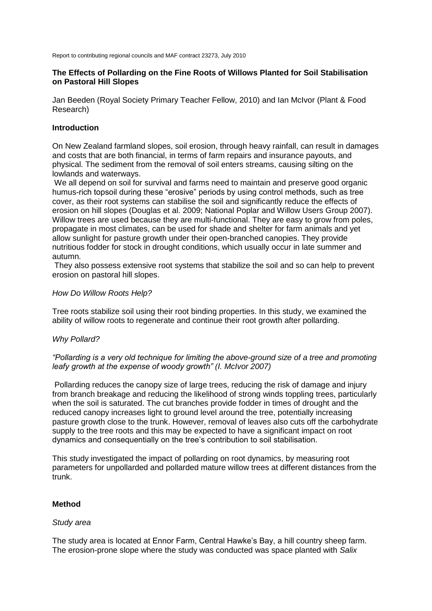Report to contributing regional councils and MAF contract 23273, July 2010

#### **The Effects of Pollarding on the Fine Roots of Willows Planted for Soil Stabilisation on Pastoral Hill Slopes**

Jan Beeden (Royal Society Primary Teacher Fellow, 2010) and Ian McIvor (Plant & Food Research)

#### **Introduction**

On New Zealand farmland slopes, soil erosion, through heavy rainfall, can result in damages and costs that are both financial, in terms of farm repairs and insurance payouts, and physical. The sediment from the removal of soil enters streams, causing silting on the lowlands and waterways.

We all depend on soil for survival and farms need to maintain and preserve good organic humus-rich topsoil during these "erosive" periods by using control methods, such as tree cover, as their root systems can stabilise the soil and significantly reduce the effects of erosion on hill slopes (Douglas et al. 2009; National Poplar and Willow Users Group 2007). Willow trees are used because they are multi-functional. They are easy to grow from poles, propagate in most climates, can be used for shade and shelter for farm animals and yet allow sunlight for pasture growth under their open-branched canopies. They provide nutritious fodder for stock in drought conditions, which usually occur in late summer and autumn.

They also possess extensive root systems that stabilize the soil and so can help to prevent erosion on pastoral hill slopes.

#### *How Do Willow Roots Help?*

Tree roots stabilize soil using their root binding properties. In this study, we examined the ability of willow roots to regenerate and continue their root growth after pollarding.

#### *Why Pollard?*

# *"Pollarding is a very old technique for limiting the above-ground size of a tree and promoting leafy growth at the expense of woody growth" (I. McIvor 2007)*

Pollarding reduces the canopy size of large trees, reducing the risk of damage and injury from branch breakage and reducing the likelihood of strong winds toppling trees, particularly when the soil is saturated. The cut branches provide fodder in times of drought and the reduced canopy increases light to ground level around the tree, potentially increasing pasture growth close to the trunk. However, removal of leaves also cuts off the carbohydrate supply to the tree roots and this may be expected to have a significant impact on root dynamics and consequentially on the tree"s contribution to soil stabilisation.

This study investigated the impact of pollarding on root dynamics, by measuring root parameters for unpollarded and pollarded mature willow trees at different distances from the trunk.

# **Method**

#### *Study area*

The study area is located at Ennor Farm, Central Hawke"s Bay, a hill country sheep farm. The erosion-prone slope where the study was conducted was space planted with *Salix*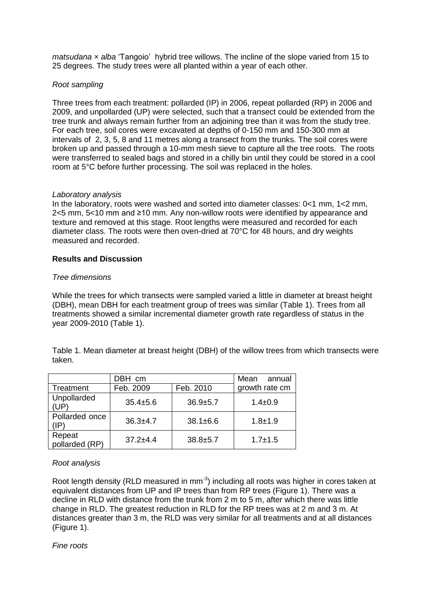*matsudana × alba* "Tangoio" hybrid tree willows. The incline of the slope varied from 15 to 25 degrees. The study trees were all planted within a year of each other.

# *Root sampling*

Three trees from each treatment: pollarded (IP) in 2006, repeat pollarded (RP) in 2006 and 2009, and unpollarded (UP) were selected, such that a transect could be extended from the tree trunk and always remain further from an adjoining tree than it was from the study tree. For each tree, soil cores were excavated at depths of 0-150 mm and 150-300 mm at intervals of 2, 3, 5, 8 and 11 metres along a transect from the trunks. The soil cores were broken up and passed through a 10-mm mesh sieve to capture all the tree roots. The roots were transferred to sealed bags and stored in a chilly bin until they could be stored in a cool room at 5°C before further processing. The soil was replaced in the holes.

# *Laboratory analysis*

In the laboratory, roots were washed and sorted into diameter classes: 0<1 mm, 1<2 mm, 2<5 mm, 5<10 mm and ≥10 mm. Any non-willow roots were identified by appearance and texture and removed at this stage. Root lengths were measured and recorded for each diameter class. The roots were then oven-dried at 70°C for 48 hours, and dry weights measured and recorded.

# **Results and Discussion**

# *Tree dimensions*

While the trees for which transects were sampled varied a little in diameter at breast height (DBH), mean DBH for each treatment group of trees was similar (Table 1). Trees from all treatments showed a similar incremental diameter growth rate regardless of status in the year 2009-2010 (Table 1).

Table 1. Mean diameter at breast height (DBH) of the willow trees from which transects were taken.

|                          | DBH cm       |                | Mean<br>annual |
|--------------------------|--------------|----------------|----------------|
| Treatment                | Feb. 2009    | Feb. 2010      | growth rate cm |
| Unpollarded<br>(UP)      | $35.4 + 5.6$ | $36.9 + 5.7$   | $1.4 \pm 0.9$  |
| Pollarded once<br>(IP)   | $36.3 + 4.7$ | $38.1 \pm 6.6$ | $1.8 + 1.9$    |
| Repeat<br>pollarded (RP) | $37.2 + 4.4$ | $38.8 + 5.7$   | $1.7 \pm 1.5$  |

# *Root analysis*

Root length density (RLD measured in  $mm^{-3}$ ) including all roots was higher in cores taken at equivalent distances from UP and IP trees than from RP trees (Figure 1). There was a decline in RLD with distance from the trunk from 2 m to 5 m, after which there was little change in RLD. The greatest reduction in RLD for the RP trees was at 2 m and 3 m. At distances greater than 3 m, the RLD was very similar for all treatments and at all distances (Figure 1).

*Fine roots*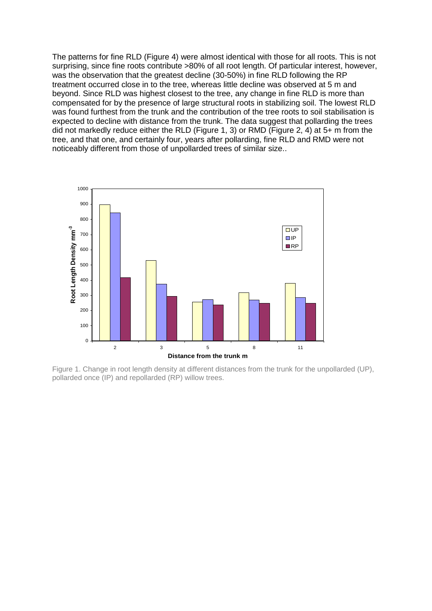The patterns for fine RLD (Figure 4) were almost identical with those for all roots. This is not surprising, since fine roots contribute >80% of all root length. Of particular interest, however, was the observation that the greatest decline (30-50%) in fine RLD following the RP treatment occurred close in to the tree, whereas little decline was observed at 5 m and beyond. Since RLD was highest closest to the tree, any change in fine RLD is more than compensated for by the presence of large structural roots in stabilizing soil. The lowest RLD was found furthest from the trunk and the contribution of the tree roots to soil stabilisation is expected to decline with distance from the trunk. The data suggest that pollarding the trees did not markedly reduce either the RLD (Figure 1, 3) or RMD (Figure 2, 4) at 5+ m from the tree, and that one, and certainly four, years after pollarding, fine RLD and RMD were not noticeably different from those of unpollarded trees of similar size..



Figure 1. Change in root length density at different distances from the trunk for the unpollarded (UP), pollarded once (IP) and repollarded (RP) willow trees.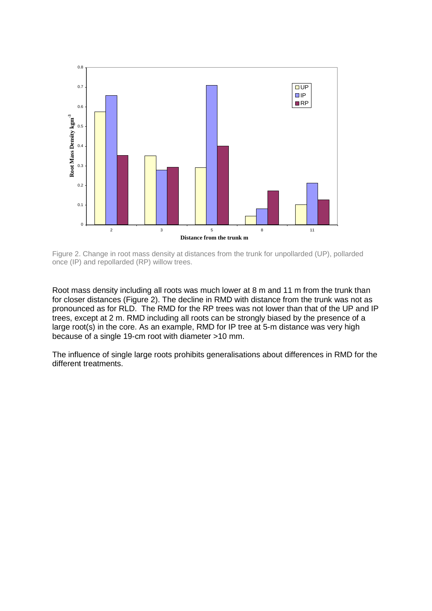

Figure 2. Change in root mass density at distances from the trunk for unpollarded (UP), pollarded once (IP) and repollarded (RP) willow trees.

Root mass density including all roots was much lower at 8 m and 11 m from the trunk than for closer distances (Figure 2). The decline in RMD with distance from the trunk was not as pronounced as for RLD. The RMD for the RP trees was not lower than that of the UP and IP trees, except at 2 m. RMD including all roots can be strongly biased by the presence of a large root(s) in the core. As an example, RMD for IP tree at 5-m distance was very high because of a single 19-cm root with diameter >10 mm.

The influence of single large roots prohibits generalisations about differences in RMD for the different treatments.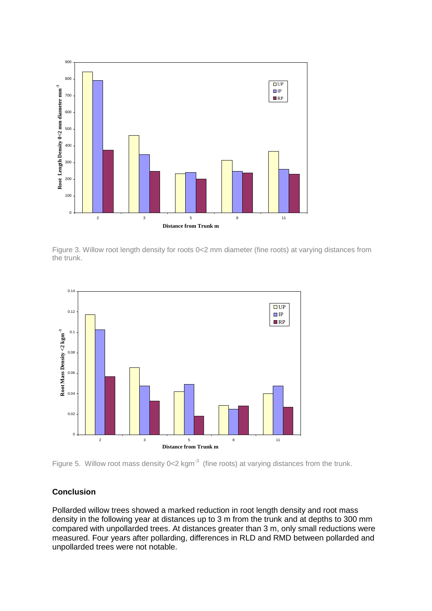

Figure 3. Willow root length density for roots 0<2 mm diameter (fine roots) at varying distances from the trunk.



Figure 5. Willow root mass density  $0<2$  kgm<sup>-3</sup> (fine roots) at varying distances from the trunk.

# **Conclusion**

Pollarded willow trees showed a marked reduction in root length density and root mass density in the following year at distances up to 3 m from the trunk and at depths to 300 mm compared with unpollarded trees. At distances greater than 3 m, only small reductions were measured. Four years after pollarding, differences in RLD and RMD between pollarded and unpollarded trees were not notable.